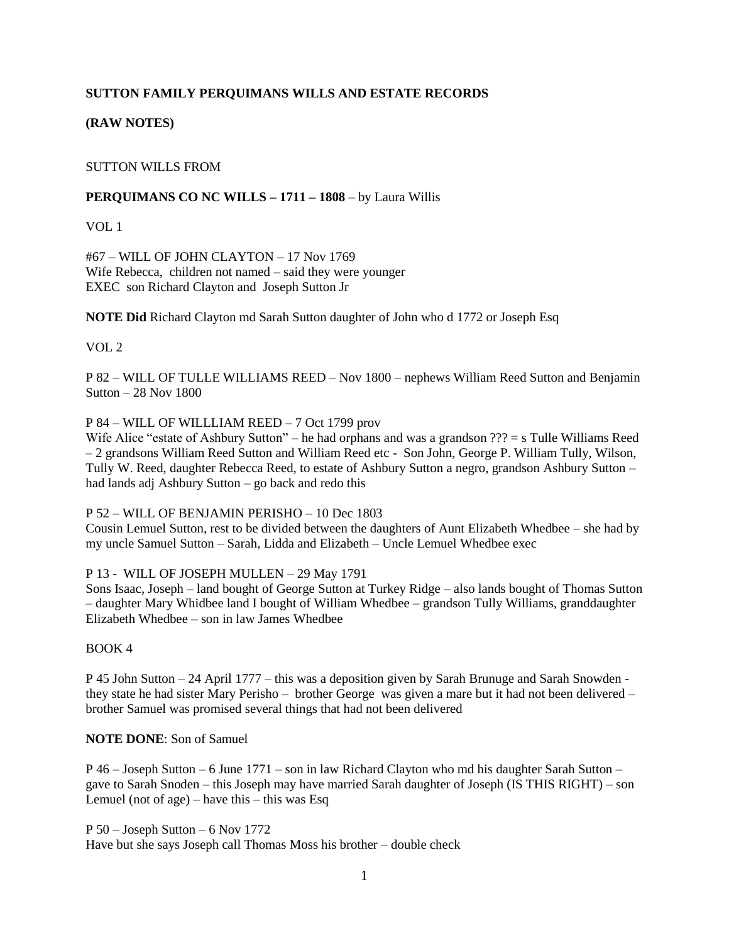# **SUTTON FAMILY PERQUIMANS WILLS AND ESTATE RECORDS**

# **(RAW NOTES)**

## SUTTON WILLS FROM

## **PERQUIMANS CO NC WILLS – 1711 – 1808** – by Laura Willis

VOL 1

#67 – WILL OF JOHN CLAYTON – 17 Nov 1769 Wife Rebecca, children not named – said they were younger EXEC son Richard Clayton and Joseph Sutton Jr

**NOTE Did** Richard Clayton md Sarah Sutton daughter of John who d 1772 or Joseph Esq

VOL 2

P 82 – WILL OF TULLE WILLIAMS REED – Nov 1800 – nephews William Reed Sutton and Benjamin Sutton – 28 Nov 1800

## P 84 – WILL OF WILLLIAM REED – 7 Oct 1799 prov

Wife Alice "estate of Ashbury Sutton" – he had orphans and was a grandson ??? = s Tulle Williams Reed – 2 grandsons William Reed Sutton and William Reed etc - Son John, George P. William Tully, Wilson, Tully W. Reed, daughter Rebecca Reed, to estate of Ashbury Sutton a negro, grandson Ashbury Sutton – had lands adj Ashbury Sutton – go back and redo this

P 52 – WILL OF BENJAMIN PERISHO – 10 Dec 1803

Cousin Lemuel Sutton, rest to be divided between the daughters of Aunt Elizabeth Whedbee – she had by my uncle Samuel Sutton – Sarah, Lidda and Elizabeth – Uncle Lemuel Whedbee exec

P 13 - WILL OF JOSEPH MULLEN – 29 May 1791

Sons Isaac, Joseph – land bought of George Sutton at Turkey Ridge – also lands bought of Thomas Sutton – daughter Mary Whidbee land I bought of William Whedbee – grandson Tully Williams, granddaughter Elizabeth Whedbee – son in law James Whedbee

## BOOK 4

P 45 John Sutton – 24 April 1777 – this was a deposition given by Sarah Brunuge and Sarah Snowden they state he had sister Mary Perisho – brother George was given a mare but it had not been delivered – brother Samuel was promised several things that had not been delivered

## **NOTE DONE**: Son of Samuel

P 46 – Joseph Sutton – 6 June 1771 – son in law Richard Clayton who md his daughter Sarah Sutton – gave to Sarah Snoden – this Joseph may have married Sarah daughter of Joseph (IS THIS RIGHT) – son Lemuel (not of age) – have this – this was Esq

P 50 – Joseph Sutton – 6 Nov 1772 Have but she says Joseph call Thomas Moss his brother – double check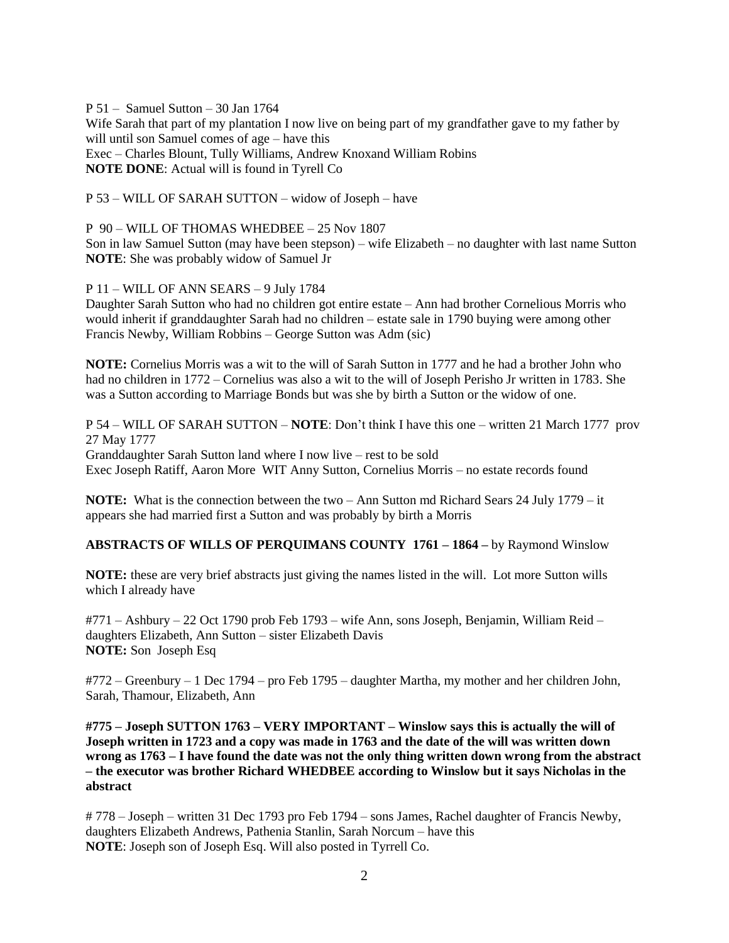P 51 – Samuel Sutton – 30 Jan 1764 Wife Sarah that part of my plantation I now live on being part of my grandfather gave to my father by will until son Samuel comes of age – have this Exec – Charles Blount, Tully Williams, Andrew Knoxand William Robins **NOTE DONE**: Actual will is found in Tyrell Co

P 53 – WILL OF SARAH SUTTON – widow of Joseph – have

P 90 – WILL OF THOMAS WHEDBEE – 25 Nov 1807

Son in law Samuel Sutton (may have been stepson) – wife Elizabeth – no daughter with last name Sutton **NOTE**: She was probably widow of Samuel Jr

P 11 – WILL OF ANN SEARS – 9 July 1784

Daughter Sarah Sutton who had no children got entire estate – Ann had brother Cornelious Morris who would inherit if granddaughter Sarah had no children – estate sale in 1790 buying were among other Francis Newby, William Robbins – George Sutton was Adm (sic)

**NOTE:** Cornelius Morris was a wit to the will of Sarah Sutton in 1777 and he had a brother John who had no children in 1772 – Cornelius was also a wit to the will of Joseph Perisho Jr written in 1783. She was a Sutton according to Marriage Bonds but was she by birth a Sutton or the widow of one.

P 54 – WILL OF SARAH SUTTON – **NOTE**: Don't think I have this one – written 21 March 1777 prov 27 May 1777 Granddaughter Sarah Sutton land where I now live – rest to be sold Exec Joseph Ratiff, Aaron More WIT Anny Sutton, Cornelius Morris – no estate records found

**NOTE:** What is the connection between the two – Ann Sutton md Richard Sears 24 July 1779 – it appears she had married first a Sutton and was probably by birth a Morris

**ABSTRACTS OF WILLS OF PERQUIMANS COUNTY 1761 – 1864 –** by Raymond Winslow

**NOTE:** these are very brief abstracts just giving the names listed in the will. Lot more Sutton wills which I already have

#771 – Ashbury – 22 Oct 1790 prob Feb 1793 – wife Ann, sons Joseph, Benjamin, William Reid – daughters Elizabeth, Ann Sutton – sister Elizabeth Davis **NOTE:** Son Joseph Esq

#772 – Greenbury – 1 Dec 1794 – pro Feb 1795 – daughter Martha, my mother and her children John, Sarah, Thamour, Elizabeth, Ann

**#775 – Joseph SUTTON 1763 – VERY IMPORTANT – Winslow says this is actually the will of Joseph written in 1723 and a copy was made in 1763 and the date of the will was written down wrong as 1763 – I have found the date was not the only thing written down wrong from the abstract – the executor was brother Richard WHEDBEE according to Winslow but it says Nicholas in the abstract**

# 778 – Joseph – written 31 Dec 1793 pro Feb 1794 – sons James, Rachel daughter of Francis Newby, daughters Elizabeth Andrews, Pathenia Stanlin, Sarah Norcum – have this **NOTE**: Joseph son of Joseph Esq. Will also posted in Tyrrell Co.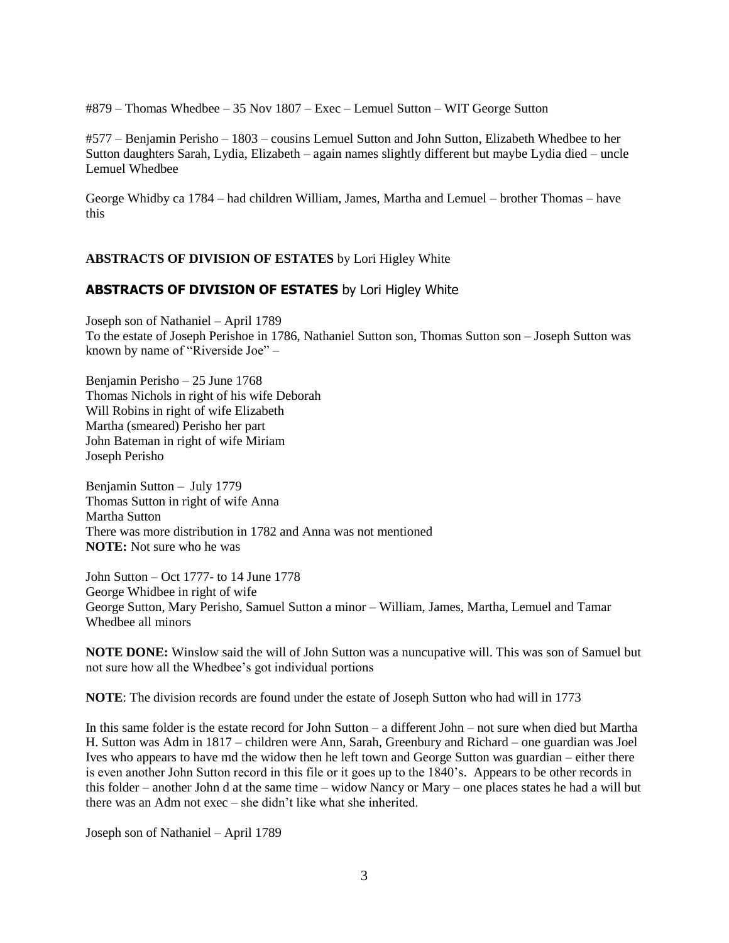#879 – Thomas Whedbee – 35 Nov 1807 – Exec – Lemuel Sutton – WIT George Sutton

#577 – Benjamin Perisho – 1803 – cousins Lemuel Sutton and John Sutton, Elizabeth Whedbee to her Sutton daughters Sarah, Lydia, Elizabeth – again names slightly different but maybe Lydia died – uncle Lemuel Whedbee

George Whidby ca 1784 – had children William, James, Martha and Lemuel – brother Thomas – have this

# **ABSTRACTS OF DIVISION OF ESTATES** by Lori Higley White

# **ABSTRACTS OF DIVISION OF ESTATES** by Lori Higley White

Joseph son of Nathaniel – April 1789 To the estate of Joseph Perishoe in 1786, Nathaniel Sutton son, Thomas Sutton son – Joseph Sutton was known by name of "Riverside Joe" –

Benjamin Perisho – 25 June 1768 Thomas Nichols in right of his wife Deborah Will Robins in right of wife Elizabeth Martha (smeared) Perisho her part John Bateman in right of wife Miriam Joseph Perisho

Benjamin Sutton – July 1779 Thomas Sutton in right of wife Anna Martha Sutton There was more distribution in 1782 and Anna was not mentioned **NOTE:** Not sure who he was

John Sutton – Oct 1777- to 14 June 1778 George Whidbee in right of wife George Sutton, Mary Perisho, Samuel Sutton a minor – William, James, Martha, Lemuel and Tamar Whedbee all minors

**NOTE DONE:** Winslow said the will of John Sutton was a nuncupative will. This was son of Samuel but not sure how all the Whedbee's got individual portions

**NOTE**: The division records are found under the estate of Joseph Sutton who had will in 1773

In this same folder is the estate record for John Sutton – a different John – not sure when died but Martha H. Sutton was Adm in 1817 – children were Ann, Sarah, Greenbury and Richard – one guardian was Joel Ives who appears to have md the widow then he left town and George Sutton was guardian – either there is even another John Sutton record in this file or it goes up to the 1840's. Appears to be other records in this folder – another John d at the same time – widow Nancy or Mary – one places states he had a will but there was an Adm not exec – she didn't like what she inherited.

Joseph son of Nathaniel – April 1789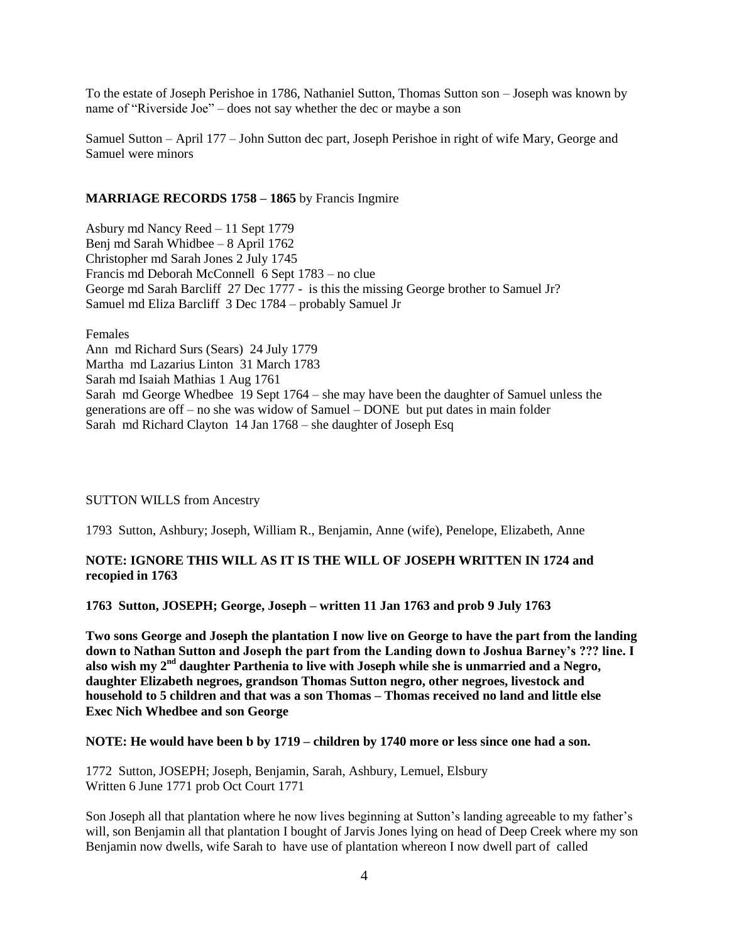To the estate of Joseph Perishoe in 1786, Nathaniel Sutton, Thomas Sutton son – Joseph was known by name of "Riverside Joe" – does not say whether the dec or maybe a son

Samuel Sutton – April 177 – John Sutton dec part, Joseph Perishoe in right of wife Mary, George and Samuel were minors

#### **MARRIAGE RECORDS 1758 – 1865** by Francis Ingmire

Asbury md Nancy Reed – 11 Sept 1779 Benj md Sarah Whidbee – 8 April 1762 Christopher md Sarah Jones 2 July 1745 Francis md Deborah McConnell 6 Sept 1783 – no clue George md Sarah Barcliff 27 Dec 1777 - is this the missing George brother to Samuel Jr? Samuel md Eliza Barcliff 3 Dec 1784 – probably Samuel Jr

Females

Ann md Richard Surs (Sears) 24 July 1779 Martha md Lazarius Linton 31 March 1783 Sarah md Isaiah Mathias 1 Aug 1761 Sarah md George Whedbee 19 Sept 1764 – she may have been the daughter of Samuel unless the generations are off – no she was widow of Samuel – DONE but put dates in main folder Sarah md Richard Clayton 14 Jan 1768 – she daughter of Joseph Esq

#### SUTTON WILLS from Ancestry

1793 Sutton, Ashbury; Joseph, William R., Benjamin, Anne (wife), Penelope, Elizabeth, Anne

#### **NOTE: IGNORE THIS WILL AS IT IS THE WILL OF JOSEPH WRITTEN IN 1724 and recopied in 1763**

**1763 Sutton, JOSEPH; George, Joseph – written 11 Jan 1763 and prob 9 July 1763**

**Two sons George and Joseph the plantation I now live on George to have the part from the landing down to Nathan Sutton and Joseph the part from the Landing down to Joshua Barney's ??? line. I also wish my 2nd daughter Parthenia to live with Joseph while she is unmarried and a Negro, daughter Elizabeth negroes, grandson Thomas Sutton negro, other negroes, livestock and household to 5 children and that was a son Thomas – Thomas received no land and little else Exec Nich Whedbee and son George**

#### **NOTE: He would have been b by 1719 – children by 1740 more or less since one had a son.**

1772 Sutton, JOSEPH; Joseph, Benjamin, Sarah, Ashbury, Lemuel, Elsbury Written 6 June 1771 prob Oct Court 1771

Son Joseph all that plantation where he now lives beginning at Sutton's landing agreeable to my father's will, son Benjamin all that plantation I bought of Jarvis Jones lying on head of Deep Creek where my son Benjamin now dwells, wife Sarah to have use of plantation whereon I now dwell part of called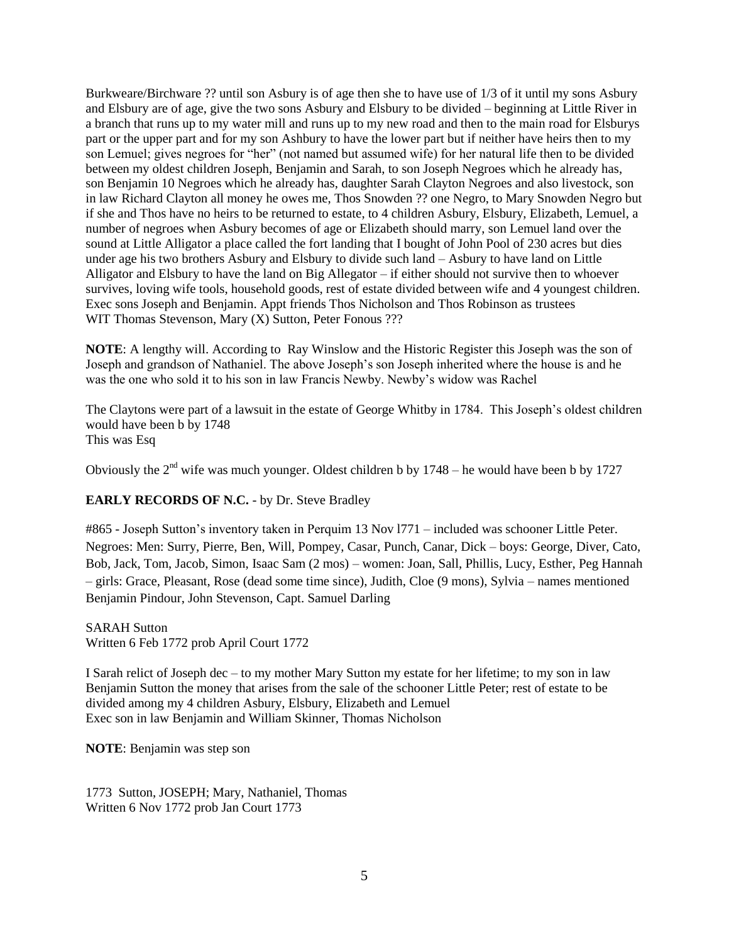Burkweare/Birchware ?? until son Asbury is of age then she to have use of 1/3 of it until my sons Asbury and Elsbury are of age, give the two sons Asbury and Elsbury to be divided – beginning at Little River in a branch that runs up to my water mill and runs up to my new road and then to the main road for Elsburys part or the upper part and for my son Ashbury to have the lower part but if neither have heirs then to my son Lemuel; gives negroes for "her" (not named but assumed wife) for her natural life then to be divided between my oldest children Joseph, Benjamin and Sarah, to son Joseph Negroes which he already has, son Benjamin 10 Negroes which he already has, daughter Sarah Clayton Negroes and also livestock, son in law Richard Clayton all money he owes me, Thos Snowden ?? one Negro, to Mary Snowden Negro but if she and Thos have no heirs to be returned to estate, to 4 children Asbury, Elsbury, Elizabeth, Lemuel, a number of negroes when Asbury becomes of age or Elizabeth should marry, son Lemuel land over the sound at Little Alligator a place called the fort landing that I bought of John Pool of 230 acres but dies under age his two brothers Asbury and Elsbury to divide such land – Asbury to have land on Little Alligator and Elsbury to have the land on Big Allegator – if either should not survive then to whoever survives, loving wife tools, household goods, rest of estate divided between wife and 4 youngest children. Exec sons Joseph and Benjamin. Appt friends Thos Nicholson and Thos Robinson as trustees WIT Thomas Stevenson, Mary (X) Sutton, Peter Fonous ???

**NOTE**: A lengthy will. According to Ray Winslow and the Historic Register this Joseph was the son of Joseph and grandson of Nathaniel. The above Joseph's son Joseph inherited where the house is and he was the one who sold it to his son in law Francis Newby. Newby's widow was Rachel

The Claytons were part of a lawsuit in the estate of George Whitby in 1784. This Joseph's oldest children would have been b by 1748 This was Esq

Obviously the  $2<sup>nd</sup>$  wife was much younger. Oldest children b by 1748 – he would have been b by 1727

## **EARLY RECORDS OF N.C.** - by Dr. Steve Bradley

#865 - Joseph Sutton's inventory taken in Perquim 13 Nov l771 – included was schooner Little Peter. Negroes: Men: Surry, Pierre, Ben, Will, Pompey, Casar, Punch, Canar, Dick – boys: George, Diver, Cato, Bob, Jack, Tom, Jacob, Simon, Isaac Sam (2 mos) – women: Joan, Sall, Phillis, Lucy, Esther, Peg Hannah – girls: Grace, Pleasant, Rose (dead some time since), Judith, Cloe (9 mons), Sylvia – names mentioned Benjamin Pindour, John Stevenson, Capt. Samuel Darling

SARAH Sutton Written 6 Feb 1772 prob April Court 1772

I Sarah relict of Joseph dec – to my mother Mary Sutton my estate for her lifetime; to my son in law Benjamin Sutton the money that arises from the sale of the schooner Little Peter; rest of estate to be divided among my 4 children Asbury, Elsbury, Elizabeth and Lemuel Exec son in law Benjamin and William Skinner, Thomas Nicholson

**NOTE**: Benjamin was step son

1773 Sutton, JOSEPH; Mary, Nathaniel, Thomas Written 6 Nov 1772 prob Jan Court 1773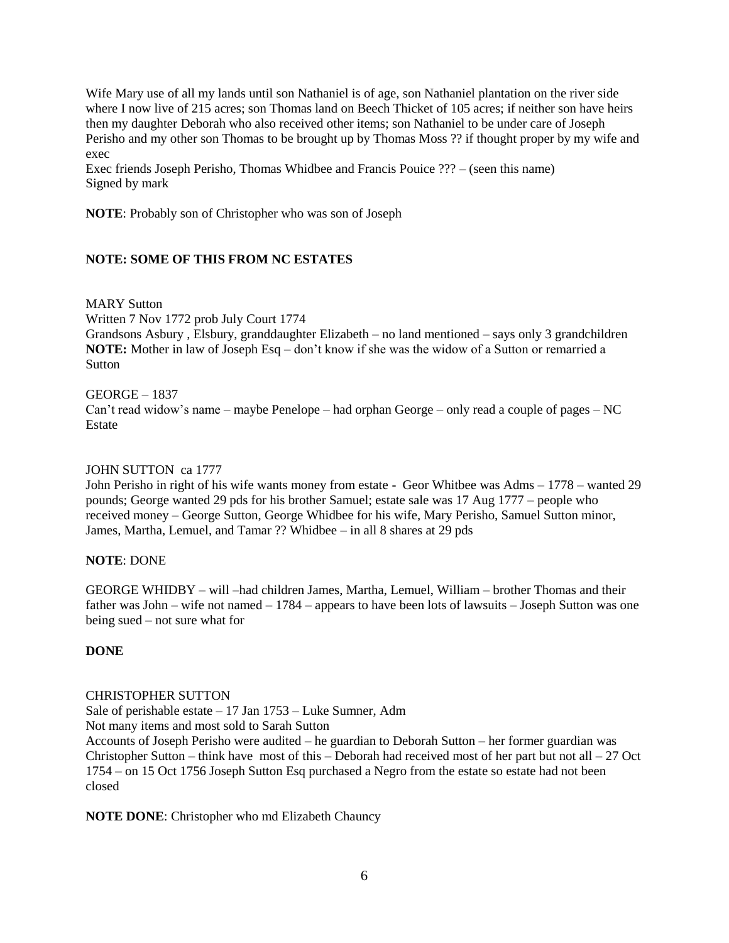Wife Mary use of all my lands until son Nathaniel is of age, son Nathaniel plantation on the river side where I now live of 215 acres; son Thomas land on Beech Thicket of 105 acres; if neither son have heirs then my daughter Deborah who also received other items; son Nathaniel to be under care of Joseph Perisho and my other son Thomas to be brought up by Thomas Moss ?? if thought proper by my wife and exec

Exec friends Joseph Perisho, Thomas Whidbee and Francis Pouice ??? – (seen this name) Signed by mark

**NOTE**: Probably son of Christopher who was son of Joseph

# **NOTE: SOME OF THIS FROM NC ESTATES**

MARY Sutton

Written 7 Nov 1772 prob July Court 1774

Grandsons Asbury , Elsbury, granddaughter Elizabeth – no land mentioned – says only 3 grandchildren **NOTE:** Mother in law of Joseph Esq – don't know if she was the widow of a Sutton or remarried a Sutton

#### GEORGE – 1837

Can't read widow's name – maybe Penelope – had orphan George – only read a couple of pages – NC **Estate** 

#### JOHN SUTTON ca 1777

John Perisho in right of his wife wants money from estate - Geor Whitbee was Adms – 1778 – wanted 29 pounds; George wanted 29 pds for his brother Samuel; estate sale was 17 Aug 1777 – people who received money – George Sutton, George Whidbee for his wife, Mary Perisho, Samuel Sutton minor, James, Martha, Lemuel, and Tamar ?? Whidbee – in all 8 shares at 29 pds

## **NOTE**: DONE

GEORGE WHIDBY – will –had children James, Martha, Lemuel, William – brother Thomas and their father was John – wife not named – 1784 – appears to have been lots of lawsuits – Joseph Sutton was one being sued – not sure what for

## **DONE**

## CHRISTOPHER SUTTON

Sale of perishable estate – 17 Jan 1753 – Luke Sumner, Adm

Not many items and most sold to Sarah Sutton

Accounts of Joseph Perisho were audited – he guardian to Deborah Sutton – her former guardian was Christopher Sutton – think have most of this – Deborah had received most of her part but not all – 27 Oct 1754 – on 15 Oct 1756 Joseph Sutton Esq purchased a Negro from the estate so estate had not been closed

**NOTE DONE**: Christopher who md Elizabeth Chauncy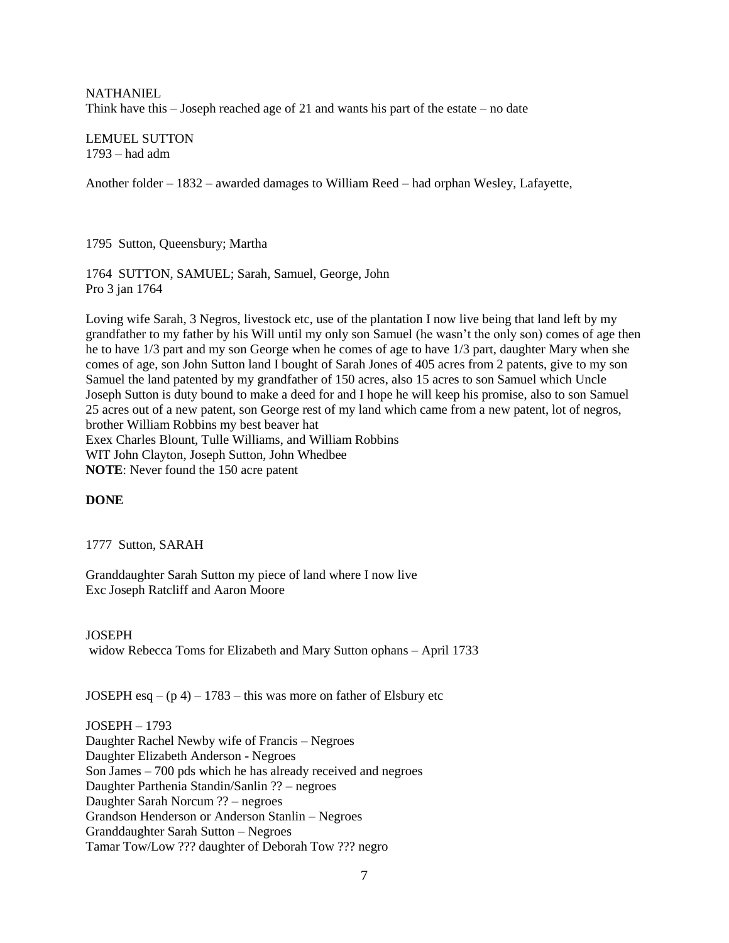**NATHANIEL** Think have this – Joseph reached age of 21 and wants his part of the estate – no date

LEMUEL SUTTON 1793 – had adm

Another folder – 1832 – awarded damages to William Reed – had orphan Wesley, Lafayette,

1795 Sutton, Queensbury; Martha

1764 SUTTON, SAMUEL; Sarah, Samuel, George, John Pro 3 jan 1764

Loving wife Sarah, 3 Negros, livestock etc, use of the plantation I now live being that land left by my grandfather to my father by his Will until my only son Samuel (he wasn't the only son) comes of age then he to have 1/3 part and my son George when he comes of age to have 1/3 part, daughter Mary when she comes of age, son John Sutton land I bought of Sarah Jones of 405 acres from 2 patents, give to my son Samuel the land patented by my grandfather of 150 acres, also 15 acres to son Samuel which Uncle Joseph Sutton is duty bound to make a deed for and I hope he will keep his promise, also to son Samuel 25 acres out of a new patent, son George rest of my land which came from a new patent, lot of negros, brother William Robbins my best beaver hat Exex Charles Blount, Tulle Williams, and William Robbins WIT John Clayton, Joseph Sutton, John Whedbee **NOTE**: Never found the 150 acre patent

## **DONE**

1777 Sutton, SARAH

Granddaughter Sarah Sutton my piece of land where I now live Exc Joseph Ratcliff and Aaron Moore

**JOSEPH** widow Rebecca Toms for Elizabeth and Mary Sutton ophans – April 1733

JOSEPH esq  $- (p 4) - 1783$  – this was more on father of Elsbury etc

JOSEPH – 1793 Daughter Rachel Newby wife of Francis – Negroes Daughter Elizabeth Anderson - Negroes Son James – 700 pds which he has already received and negroes Daughter Parthenia Standin/Sanlin ?? – negroes Daughter Sarah Norcum ?? – negroes Grandson Henderson or Anderson Stanlin – Negroes Granddaughter Sarah Sutton – Negroes Tamar Tow/Low ??? daughter of Deborah Tow ??? negro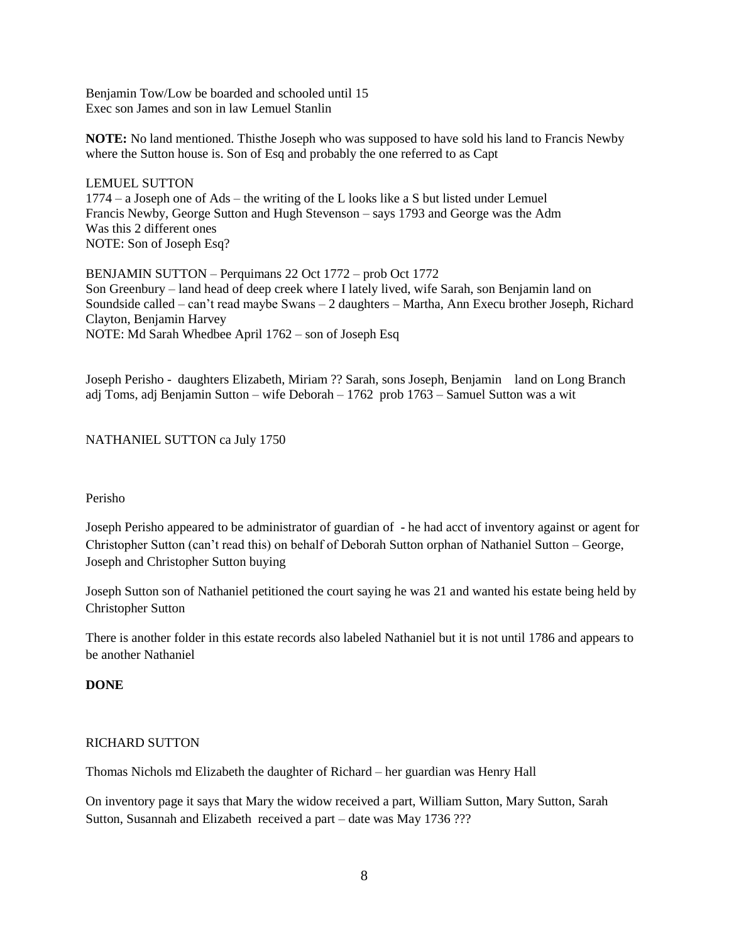Benjamin Tow/Low be boarded and schooled until 15 Exec son James and son in law Lemuel Stanlin

**NOTE:** No land mentioned. Thisthe Joseph who was supposed to have sold his land to Francis Newby where the Sutton house is. Son of Esq and probably the one referred to as Capt

LEMUEL SUTTON 1774 – a Joseph one of Ads – the writing of the L looks like a S but listed under Lemuel Francis Newby, George Sutton and Hugh Stevenson – says 1793 and George was the Adm Was this 2 different ones NOTE: Son of Joseph Esq?

BENJAMIN SUTTON – Perquimans 22 Oct 1772 – prob Oct 1772 Son Greenbury – land head of deep creek where I lately lived, wife Sarah, son Benjamin land on Soundside called – can't read maybe Swans – 2 daughters – Martha, Ann Execu brother Joseph, Richard Clayton, Benjamin Harvey NOTE: Md Sarah Whedbee April 1762 – son of Joseph Esq

Joseph Perisho - daughters Elizabeth, Miriam ?? Sarah, sons Joseph, Benjamin land on Long Branch adj Toms, adj Benjamin Sutton – wife Deborah – 1762 prob 1763 – Samuel Sutton was a wit

## NATHANIEL SUTTON ca July 1750

#### Perisho

Joseph Perisho appeared to be administrator of guardian of - he had acct of inventory against or agent for Christopher Sutton (can't read this) on behalf of Deborah Sutton orphan of Nathaniel Sutton – George, Joseph and Christopher Sutton buying

Joseph Sutton son of Nathaniel petitioned the court saying he was 21 and wanted his estate being held by Christopher Sutton

There is another folder in this estate records also labeled Nathaniel but it is not until 1786 and appears to be another Nathaniel

## **DONE**

## RICHARD SUTTON

Thomas Nichols md Elizabeth the daughter of Richard – her guardian was Henry Hall

On inventory page it says that Mary the widow received a part, William Sutton, Mary Sutton, Sarah Sutton, Susannah and Elizabeth received a part – date was May 1736 ???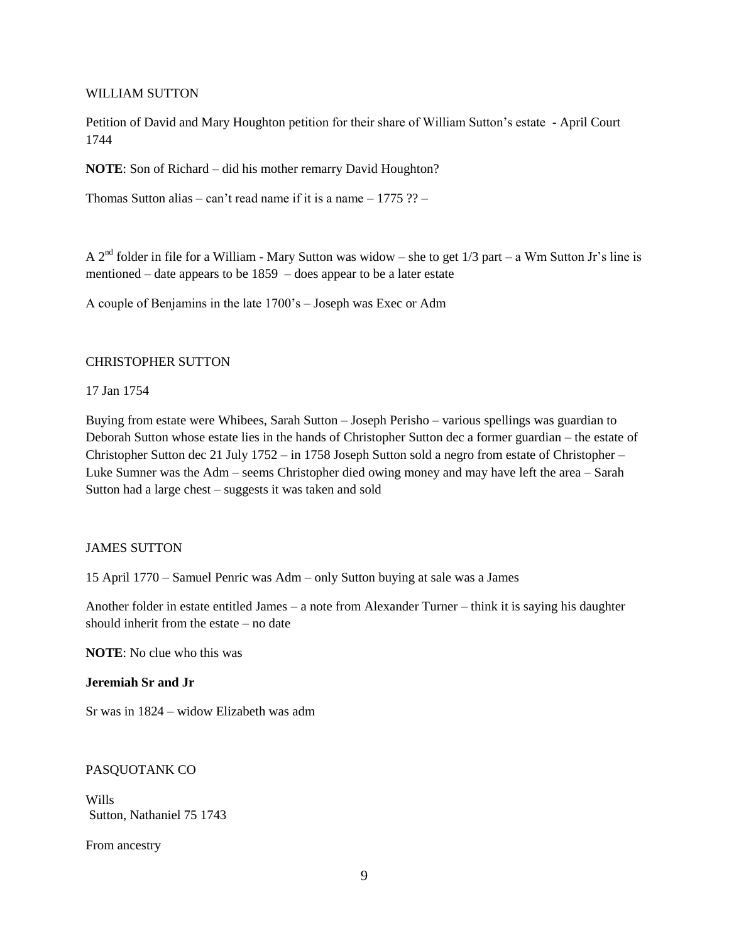#### WILLIAM SUTTON

Petition of David and Mary Houghton petition for their share of William Sutton's estate - April Court 1744

**NOTE**: Son of Richard – did his mother remarry David Houghton?

Thomas Sutton alias – can't read name if it is a name –  $1775$  ?? –

A 2<sup>nd</sup> folder in file for a William - Mary Sutton was widow – she to get  $1/3$  part – a Wm Sutton Jr's line is mentioned – date appears to be 1859 – does appear to be a later estate

A couple of Benjamins in the late 1700's – Joseph was Exec or Adm

#### CHRISTOPHER SUTTON

#### 17 Jan 1754

Buying from estate were Whibees, Sarah Sutton – Joseph Perisho – various spellings was guardian to Deborah Sutton whose estate lies in the hands of Christopher Sutton dec a former guardian – the estate of Christopher Sutton dec 21 July 1752 – in 1758 Joseph Sutton sold a negro from estate of Christopher – Luke Sumner was the Adm – seems Christopher died owing money and may have left the area – Sarah Sutton had a large chest – suggests it was taken and sold

#### JAMES SUTTON

15 April 1770 – Samuel Penric was Adm – only Sutton buying at sale was a James

Another folder in estate entitled James – a note from Alexander Turner – think it is saying his daughter should inherit from the estate – no date

**NOTE**: No clue who this was

#### **Jeremiah Sr and Jr**

Sr was in 1824 – widow Elizabeth was adm

## PASQUOTANK CO

Wills Sutton, Nathaniel 75 1743

From ancestry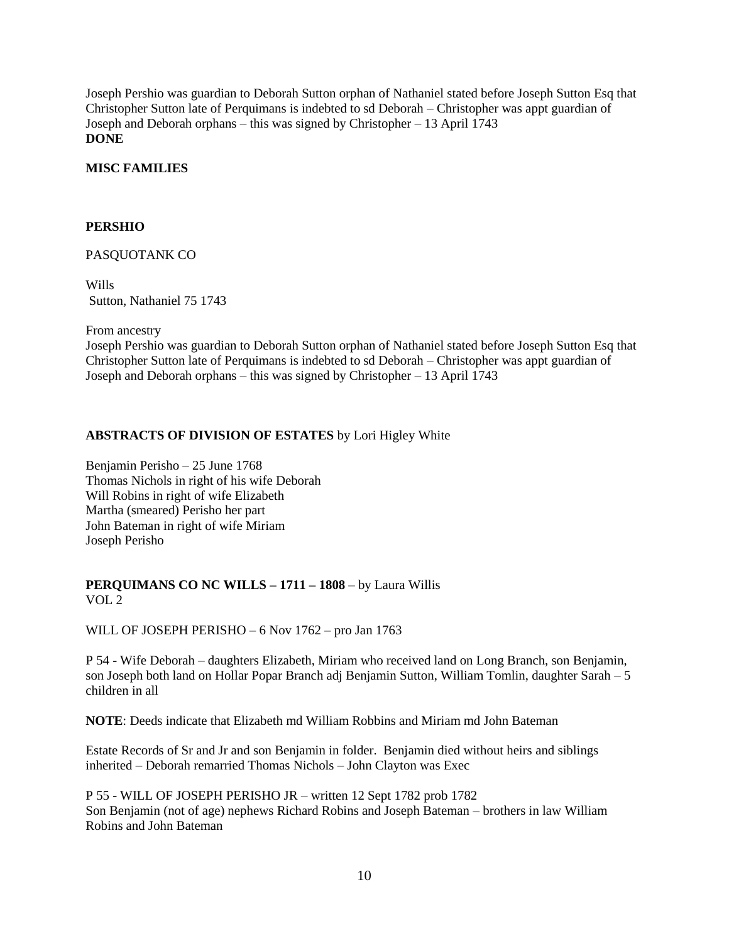Joseph Pershio was guardian to Deborah Sutton orphan of Nathaniel stated before Joseph Sutton Esq that Christopher Sutton late of Perquimans is indebted to sd Deborah – Christopher was appt guardian of Joseph and Deborah orphans – this was signed by Christopher – 13 April 1743 **DONE**

## **MISC FAMILIES**

## **PERSHIO**

## PASQUOTANK CO

Wills Sutton, Nathaniel 75 1743

From ancestry

Joseph Pershio was guardian to Deborah Sutton orphan of Nathaniel stated before Joseph Sutton Esq that Christopher Sutton late of Perquimans is indebted to sd Deborah – Christopher was appt guardian of Joseph and Deborah orphans – this was signed by Christopher – 13 April 1743

## **ABSTRACTS OF DIVISION OF ESTATES** by Lori Higley White

Benjamin Perisho – 25 June 1768 Thomas Nichols in right of his wife Deborah Will Robins in right of wife Elizabeth Martha (smeared) Perisho her part John Bateman in right of wife Miriam Joseph Perisho

## **PERQUIMANS CO NC WILLS – 1711 – 1808** – by Laura Willis VOL 2

WILL OF JOSEPH PERISHO – 6 Nov 1762 – pro Jan 1763

P 54 - Wife Deborah – daughters Elizabeth, Miriam who received land on Long Branch, son Benjamin, son Joseph both land on Hollar Popar Branch adj Benjamin Sutton, William Tomlin, daughter Sarah – 5 children in all

**NOTE**: Deeds indicate that Elizabeth md William Robbins and Miriam md John Bateman

Estate Records of Sr and Jr and son Benjamin in folder. Benjamin died without heirs and siblings inherited – Deborah remarried Thomas Nichols – John Clayton was Exec

P 55 - WILL OF JOSEPH PERISHO JR – written 12 Sept 1782 prob 1782 Son Benjamin (not of age) nephews Richard Robins and Joseph Bateman – brothers in law William Robins and John Bateman